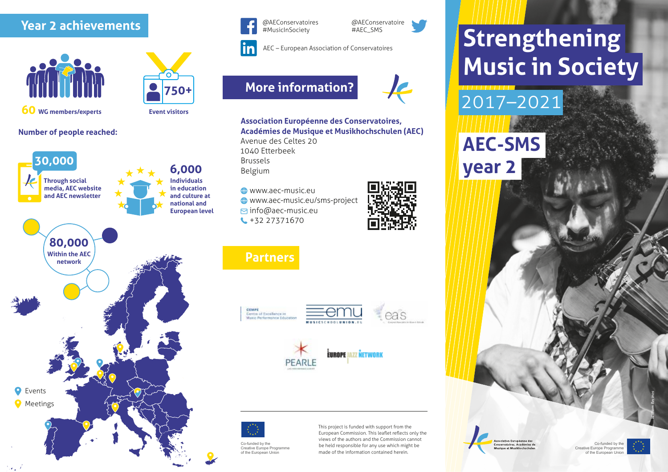## **Year 2 achievements**



**750+**

**60 WG members/experts**

# **Event visitors**

## **Number of people reached:**





@AEConservatoires #MusicInSociety

@AEConservatoire #AEC\_SMS



## **More information?**





#### **Association Européenne des Conservatoires, Académies de Musique et Musikhochschulen (AEC)** Avenue des Celtes 20

1040 Etterbeek Brussels Belgium

**CO** WWW.aec-music.eu www.aec-music.eu/sms-project info@aec-music.eu +32 27371670

## **Partners**





## .<br>FIIRAPE 1877 NETWORK PEARL



Co-funded by the Creative Europe Programme of the European Union

This project is funded with support from the European Commission. This leaflet reflects only the views of the authors and the Commission cannot be held responsible for any use which might be made of the information contained herein.

# **Strengthening Music in Society**

*William Recinos*

Co-funded by the Creative Europe Progra of the European Unio

2017–2021 **AEC-SMS year 2**

> ciation Européenne des vatoires. Académies de